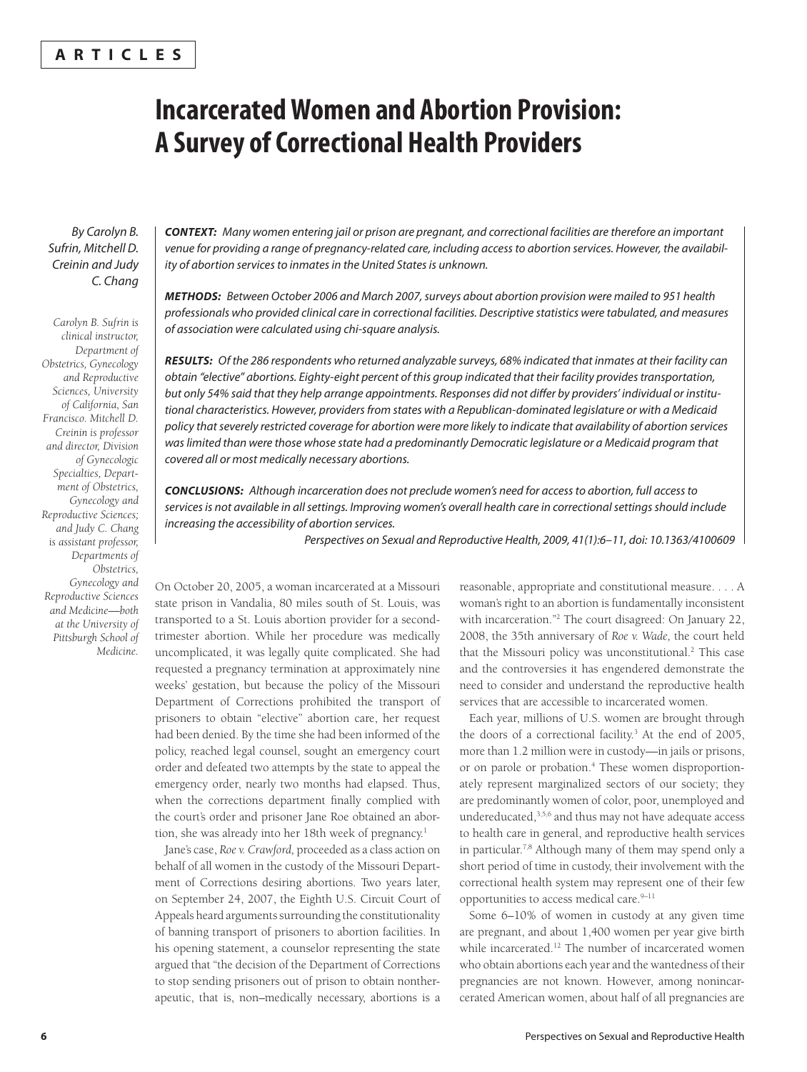## **ARTICLES**

# **Incarcerated Women and Abortion Provision: A Survey of Correctional Health Providers**

By Carolyn B. Sufrin, Mitchell D. Creinin and Judy C. Chang

*Carolyn B. Sufrin is clinical instructor, Department of Obstetrics, Gynecology and Reproductive Sciences, University of California, San Francisco. Mitchell D. Creinin is professor and director, Division of Gynecologic Specialties, Department of Obstetrics, Gynecology and Reproductive Sciences; and Judy C. Chang is assistant professor, Departments of Obstetrics, Gynecology and Reproductive Sciences and Medicine—both at the University of Pittsburgh School of Medicine.*

*CONTEXT:* Many women entering jail or prison are pregnant, and correctional facilities are therefore an important venue for providing a range of pregnancy-related care, including access to abortion services. However, the availability of abortion services to inmates in the United States is unknown.

*METHODS:* Between October 2006 and March 2007, surveys about abortion provision were mailed to 951 health professionals who provided clinical care in correctional facilities. Descriptive statistics were tabulated, and measures of association were calculated using chi-square analysis.

*RESULTS:* Of the 286 respondents who returned analyzable surveys, 68% indicated that inmates at their facility can obtain "elective" abortions. Eighty-eight percent of this group indicated that their facility provides transportation, but only 54% said that they help arrange appointments. Responses did not differ by providers' individual or institutional characteristics. However, providers from states with a Republican-dominated legislature or with a Medicaid policy that severely restricted coverage for abortion were more likely to indicate that availability of abortion services was limited than were those whose state had a predominantly Democratic legislature or a Medicaid program that covered all or most medically necessary abortions.

*CONCLUSIONS:* Although incarceration does not preclude women's need for access to abortion, full access to services is not available in all settings. Improving women's overall health care in correctional settings should include increasing the accessibility of abortion services.

Perspectives on Sexual and Reproductive Health, 2009, 41(1):6–11, doi: 10.1363/4100609

On October 20, 2005, a woman incarcerated at a Missouri state prison in Vandalia, 80 miles south of St. Louis, was transported to a St. Louis abortion provider for a secondtrimester abortion. While her procedure was medically uncomplicated, it was legally quite complicated. She had requested a pregnancy termination at approximately nine weeks' gestation, but because the policy of the Missouri Department of Corrections prohibited the transport of prisoners to obtain "elective" abortion care, her request had been denied. By the time she had been informed of the policy, reached legal counsel, sought an emergency court order and defeated two attempts by the state to appeal the emergency order, nearly two months had elapsed. Thus, when the corrections department finally complied with the court's order and prisoner Jane Roe obtained an abortion, she was already into her 18th week of pregnancy.<sup>1</sup>

Jane's case, *Roe v. Crawford,* proceeded as a class action on behalf of all women in the custody of the Missouri Department of Corrections desiring abortions. Two years later, on September 24, 2007, the Eighth U.S. Circuit Court of Appeals heard arguments surrounding the constitutionality of banning transport of prisoners to abortion facilities. In his opening statement, a counselor representing the state argued that "the decision of the Department of Corrections to stop sending prisoners out of prison to obtain nontherapeutic, that is, non–medically necessary, abortions is a reasonable, appropriate and constitutional measure. . . . A woman's right to an abortion is fundamentally inconsistent with incarceration."<sup>2</sup> The court disagreed: On January 22, 2008, the 35th anniversary of *Roe v. Wade,* the court held that the Missouri policy was unconstitutional.<sup>2</sup> This case and the controversies it has engendered demonstrate the need to consider and understand the reproductive health services that are accessible to incarcerated women.

Each year, millions of U.S. women are brought through the doors of a correctional facility.3 At the end of 2005, more than 1.2 million were in custody—in jails or prisons, or on parole or probation.<sup>4</sup> These women disproportionately represent marginalized sectors of our society; they are predominantly women of color, poor, unemployed and undereducated,3,5,6 and thus may not have adequate access to health care in general, and reproductive health services in particular.7,8 Although many of them may spend only a short period of time in custody, their involvement with the correctional health system may represent one of their few opportunities to access medical care.<sup>9-11</sup>

Some 6–10% of women in custody at any given time are pregnant, and about 1,400 women per year give birth while incarcerated.<sup>12</sup> The number of incarcerated women who obtain abortions each year and the wantedness of their pregnancies are not known. However, among nonincarcerated American women, about half of all pregnancies are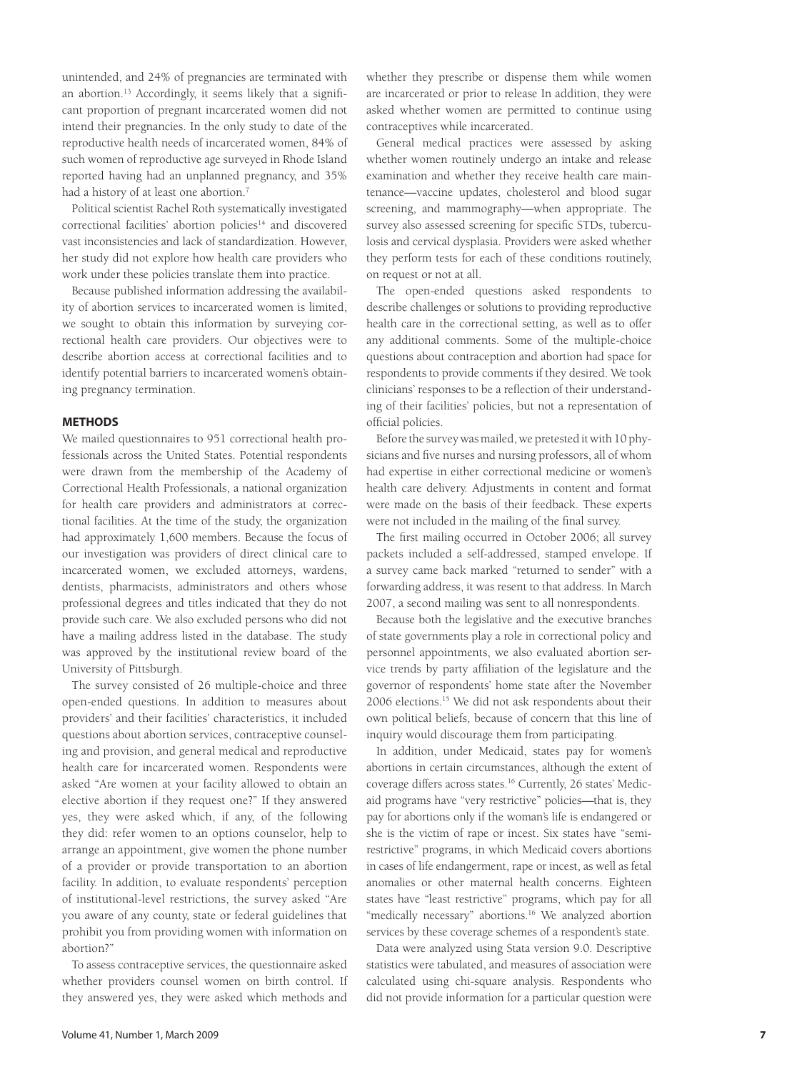unintended, and 24% of pregnancies are terminated with an abortion.<sup>13</sup> Accordingly, it seems likely that a significant proportion of pregnant incarcerated women did not intend their pregnancies. In the only study to date of the reproductive health needs of incarcerated women, 84% of such women of reproductive age surveyed in Rhode Island reported having had an unplanned pregnancy, and 35% had a history of at least one abortion.<sup>7</sup>

Political scientist Rachel Roth systematically investigated correctional facilities' abortion policies<sup>14</sup> and discovered vast inconsistencies and lack of standardization. However, her study did not explore how health care providers who work under these policies translate them into practice.

Because published information addressing the availability of abortion services to incarcerated women is limited, we sought to obtain this information by surveying correctional health care providers. Our objectives were to describe abortion access at correctional facilities and to identify potential barriers to incarcerated women's obtaining pregnancy termination.

## **METHODS**

We mailed questionnaires to 951 correctional health professionals across the United States. Potential respondents were drawn from the membership of the Academy of Correctional Health Professionals, a national organization for health care providers and administrators at correctional facilities. At the time of the study, the organization had approximately 1,600 members. Because the focus of our investigation was providers of direct clinical care to incarcerated women, we excluded attorneys, wardens, dentists, pharmacists, administrators and others whose professional degrees and titles indicated that they do not provide such care. We also excluded persons who did not have a mailing address listed in the database. The study was approved by the institutional review board of the University of Pittsburgh.

The survey consisted of 26 multiple-choice and three open-ended questions. In addition to measures about providers' and their facilities' characteristics, it included questions about abortion services, contraceptive counseling and provision, and general medical and reproductive health care for incarcerated women. Respondents were asked "Are women at your facility allowed to obtain an elective abortion if they request one?" If they answered yes, they were asked which, if any, of the following they did: refer women to an options counselor, help to arrange an appointment, give women the phone number of a provider or provide transportation to an abortion facility. In addition, to evaluate respondents' perception of institutional-level restrictions, the survey asked "Are you aware of any county, state or federal guidelines that prohibit you from providing women with information on abortion?"

To assess contraceptive services, the questionnaire asked whether providers counsel women on birth control. If they answered yes, they were asked which methods and

whether they prescribe or dispense them while women are incarcerated or prior to release In addition, they were asked whether women are permitted to continue using contraceptives while incarcerated.

General medical practices were assessed by asking whether women routinely undergo an intake and release examination and whether they receive health care maintenance—vaccine updates, cholesterol and blood sugar screening, and mammography—when appropriate. The survey also assessed screening for specific STDs, tuberculosis and cervical dysplasia. Providers were asked whether they perform tests for each of these conditions routinely, on request or not at all.

The open-ended questions asked respondents to describe challenges or solutions to providing reproductive health care in the correctional setting, as well as to offer any additional comments. Some of the multiple-choice questions about contraception and abortion had space for respondents to provide comments if they desired. We took clinicians' responses to be a reflection of their understanding of their facilities' policies, but not a representation of official policies.

Before the survey was mailed, we pretested it with 10 physicians and five nurses and nursing professors, all of whom had expertise in either correctional medicine or women's health care delivery. Adjustments in content and format were made on the basis of their feedback. These experts were not included in the mailing of the final survey.

The first mailing occurred in October 2006; all survey packets included a self-addressed, stamped envelope. If a survey came back marked "returned to sender" with a forwarding address, it was resent to that address. In March 2007, a second mailing was sent to all nonrespondents.

Because both the legislative and the executive branches of state governments play a role in correctional policy and personnel appointments, we also evaluated abortion service trends by party affiliation of the legislature and the governor of respondents' home state after the November 2006 elections.15 We did not ask respondents about their own political beliefs, because of concern that this line of inquiry would discourage them from participating.

In addition, under Medicaid, states pay for women's abortions in certain circumstances, although the extent of coverage differs across states.16 Currently, 26 states' Medicaid programs have "very restrictive" policies—that is, they pay for abortions only if the woman's life is endangered or she is the victim of rape or incest. Six states have "semirestrictive" programs, in which Medicaid covers abortions in cases of life endangerment, rape or incest, as well as fetal anomalies or other maternal health concerns. Eighteen states have "least restrictive" programs, which pay for all "medically necessary" abortions.<sup>16</sup> We analyzed abortion services by these coverage schemes of a respondent's state.

Data were analyzed using Stata version 9.0. Descriptive statistics were tabulated, and measures of association were calculated using chi-square analysis. Respondents who did not provide information for a particular question were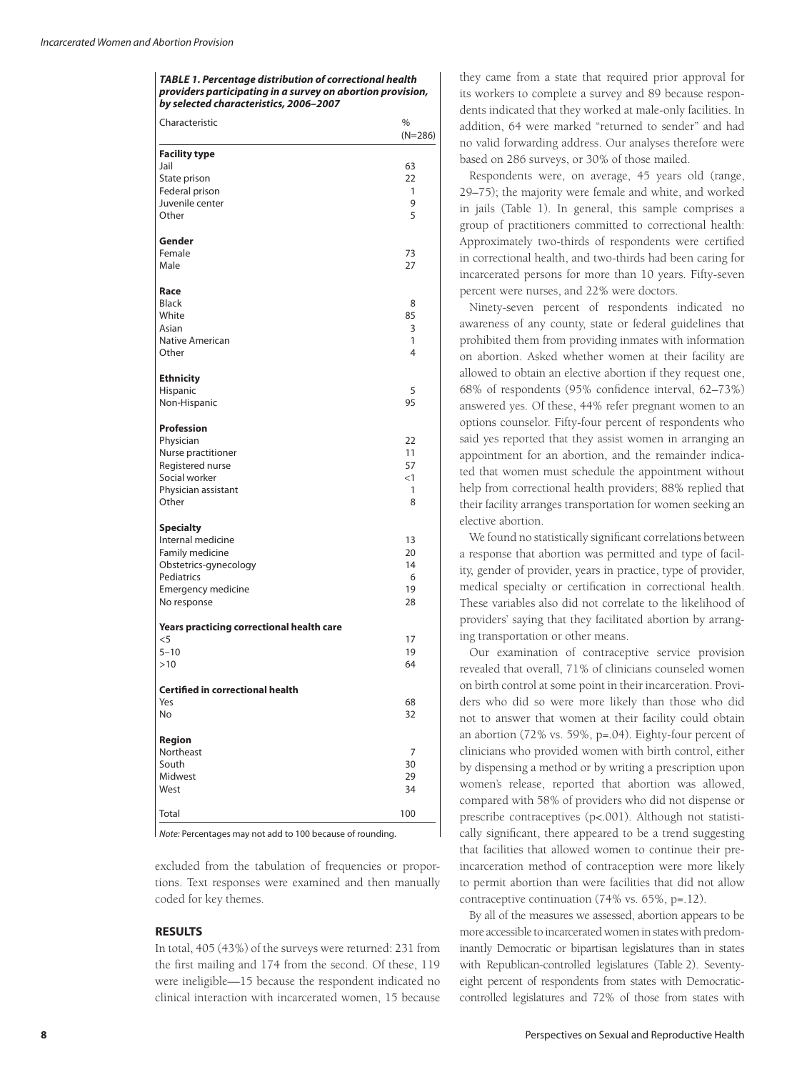*TABLE 1. Percentage distribution of correctional health providers participating in a survey on abortion provision, by selected characteristics, 2006–2007*

| <b>Facility type</b><br>Jail<br>63<br>State prison<br>22<br>Federal prison<br>1<br>9<br>Juvenile center<br>5<br>Other<br>Gender<br>Female<br>73<br>Male<br>27<br>Race<br><b>Black</b><br>8<br>85<br>White<br>Asian<br>3<br>1<br>Native American<br>4<br>Other<br><b>Ethnicity</b><br>5<br>Hispanic<br>95<br>Non-Hispanic<br><b>Profession</b><br>Physician<br>22<br>11<br>Nurse practitioner<br>57<br>Registered nurse<br>Social worker<br>$<$ 1<br>Physician assistant<br>1<br>Other<br>8<br><b>Specialty</b><br>13<br>Internal medicine<br>20<br>Family medicine<br>Obstetrics-gynecology<br>14<br>Pediatrics<br>6<br>19<br>Emergency medicine<br>28<br>No response<br>Years practicing correctional health care<br>17<br>$<$ 5<br>$5 - 10$<br>19<br>>10<br>64<br><b>Certified in correctional health</b><br>Yes<br>68<br>No<br>32<br>Region<br>Northeast<br>7<br>South<br>30<br>Midwest<br>29<br>West<br>34<br>100<br>Total | Characteristic | %<br>$(N=286)$ |
|--------------------------------------------------------------------------------------------------------------------------------------------------------------------------------------------------------------------------------------------------------------------------------------------------------------------------------------------------------------------------------------------------------------------------------------------------------------------------------------------------------------------------------------------------------------------------------------------------------------------------------------------------------------------------------------------------------------------------------------------------------------------------------------------------------------------------------------------------------------------------------------------------------------------------------|----------------|----------------|
|                                                                                                                                                                                                                                                                                                                                                                                                                                                                                                                                                                                                                                                                                                                                                                                                                                                                                                                                |                |                |
|                                                                                                                                                                                                                                                                                                                                                                                                                                                                                                                                                                                                                                                                                                                                                                                                                                                                                                                                |                |                |
|                                                                                                                                                                                                                                                                                                                                                                                                                                                                                                                                                                                                                                                                                                                                                                                                                                                                                                                                |                |                |
|                                                                                                                                                                                                                                                                                                                                                                                                                                                                                                                                                                                                                                                                                                                                                                                                                                                                                                                                |                |                |
|                                                                                                                                                                                                                                                                                                                                                                                                                                                                                                                                                                                                                                                                                                                                                                                                                                                                                                                                |                |                |
|                                                                                                                                                                                                                                                                                                                                                                                                                                                                                                                                                                                                                                                                                                                                                                                                                                                                                                                                |                |                |
|                                                                                                                                                                                                                                                                                                                                                                                                                                                                                                                                                                                                                                                                                                                                                                                                                                                                                                                                |                |                |
|                                                                                                                                                                                                                                                                                                                                                                                                                                                                                                                                                                                                                                                                                                                                                                                                                                                                                                                                |                |                |
|                                                                                                                                                                                                                                                                                                                                                                                                                                                                                                                                                                                                                                                                                                                                                                                                                                                                                                                                |                |                |
|                                                                                                                                                                                                                                                                                                                                                                                                                                                                                                                                                                                                                                                                                                                                                                                                                                                                                                                                |                |                |
|                                                                                                                                                                                                                                                                                                                                                                                                                                                                                                                                                                                                                                                                                                                                                                                                                                                                                                                                |                |                |
|                                                                                                                                                                                                                                                                                                                                                                                                                                                                                                                                                                                                                                                                                                                                                                                                                                                                                                                                |                |                |
|                                                                                                                                                                                                                                                                                                                                                                                                                                                                                                                                                                                                                                                                                                                                                                                                                                                                                                                                |                |                |
|                                                                                                                                                                                                                                                                                                                                                                                                                                                                                                                                                                                                                                                                                                                                                                                                                                                                                                                                |                |                |
|                                                                                                                                                                                                                                                                                                                                                                                                                                                                                                                                                                                                                                                                                                                                                                                                                                                                                                                                |                |                |
|                                                                                                                                                                                                                                                                                                                                                                                                                                                                                                                                                                                                                                                                                                                                                                                                                                                                                                                                |                |                |
|                                                                                                                                                                                                                                                                                                                                                                                                                                                                                                                                                                                                                                                                                                                                                                                                                                                                                                                                |                |                |
|                                                                                                                                                                                                                                                                                                                                                                                                                                                                                                                                                                                                                                                                                                                                                                                                                                                                                                                                |                |                |
|                                                                                                                                                                                                                                                                                                                                                                                                                                                                                                                                                                                                                                                                                                                                                                                                                                                                                                                                |                |                |
|                                                                                                                                                                                                                                                                                                                                                                                                                                                                                                                                                                                                                                                                                                                                                                                                                                                                                                                                |                |                |
|                                                                                                                                                                                                                                                                                                                                                                                                                                                                                                                                                                                                                                                                                                                                                                                                                                                                                                                                |                |                |
|                                                                                                                                                                                                                                                                                                                                                                                                                                                                                                                                                                                                                                                                                                                                                                                                                                                                                                                                |                |                |
|                                                                                                                                                                                                                                                                                                                                                                                                                                                                                                                                                                                                                                                                                                                                                                                                                                                                                                                                |                |                |
|                                                                                                                                                                                                                                                                                                                                                                                                                                                                                                                                                                                                                                                                                                                                                                                                                                                                                                                                |                |                |
|                                                                                                                                                                                                                                                                                                                                                                                                                                                                                                                                                                                                                                                                                                                                                                                                                                                                                                                                |                |                |
|                                                                                                                                                                                                                                                                                                                                                                                                                                                                                                                                                                                                                                                                                                                                                                                                                                                                                                                                |                |                |
|                                                                                                                                                                                                                                                                                                                                                                                                                                                                                                                                                                                                                                                                                                                                                                                                                                                                                                                                |                |                |
|                                                                                                                                                                                                                                                                                                                                                                                                                                                                                                                                                                                                                                                                                                                                                                                                                                                                                                                                |                |                |
|                                                                                                                                                                                                                                                                                                                                                                                                                                                                                                                                                                                                                                                                                                                                                                                                                                                                                                                                |                |                |
|                                                                                                                                                                                                                                                                                                                                                                                                                                                                                                                                                                                                                                                                                                                                                                                                                                                                                                                                |                |                |
|                                                                                                                                                                                                                                                                                                                                                                                                                                                                                                                                                                                                                                                                                                                                                                                                                                                                                                                                |                |                |
|                                                                                                                                                                                                                                                                                                                                                                                                                                                                                                                                                                                                                                                                                                                                                                                                                                                                                                                                |                |                |
|                                                                                                                                                                                                                                                                                                                                                                                                                                                                                                                                                                                                                                                                                                                                                                                                                                                                                                                                |                |                |
|                                                                                                                                                                                                                                                                                                                                                                                                                                                                                                                                                                                                                                                                                                                                                                                                                                                                                                                                |                |                |
|                                                                                                                                                                                                                                                                                                                                                                                                                                                                                                                                                                                                                                                                                                                                                                                                                                                                                                                                |                |                |
|                                                                                                                                                                                                                                                                                                                                                                                                                                                                                                                                                                                                                                                                                                                                                                                                                                                                                                                                |                |                |
|                                                                                                                                                                                                                                                                                                                                                                                                                                                                                                                                                                                                                                                                                                                                                                                                                                                                                                                                |                |                |
|                                                                                                                                                                                                                                                                                                                                                                                                                                                                                                                                                                                                                                                                                                                                                                                                                                                                                                                                |                |                |
|                                                                                                                                                                                                                                                                                                                                                                                                                                                                                                                                                                                                                                                                                                                                                                                                                                                                                                                                |                |                |
|                                                                                                                                                                                                                                                                                                                                                                                                                                                                                                                                                                                                                                                                                                                                                                                                                                                                                                                                |                |                |
|                                                                                                                                                                                                                                                                                                                                                                                                                                                                                                                                                                                                                                                                                                                                                                                                                                                                                                                                |                |                |
|                                                                                                                                                                                                                                                                                                                                                                                                                                                                                                                                                                                                                                                                                                                                                                                                                                                                                                                                |                |                |
|                                                                                                                                                                                                                                                                                                                                                                                                                                                                                                                                                                                                                                                                                                                                                                                                                                                                                                                                |                |                |
|                                                                                                                                                                                                                                                                                                                                                                                                                                                                                                                                                                                                                                                                                                                                                                                                                                                                                                                                |                |                |
|                                                                                                                                                                                                                                                                                                                                                                                                                                                                                                                                                                                                                                                                                                                                                                                                                                                                                                                                |                |                |

*Note:* Percentages may not add to 100 because of rounding.

excluded from the tabulation of frequencies or proportions. Text responses were examined and then manually coded for key themes.

## **RESULTS**

In total, 405 (43%) of the surveys were returned: 231 from the first mailing and 174 from the second. Of these, 119 were ineligible—15 because the respondent indicated no clinical interaction with incarcerated women, 15 because they came from a state that required prior approval for its workers to complete a survey and 89 because respondents indicated that they worked at male-only facilities. In addition, 64 were marked "returned to sender" and had no valid forwarding address. Our analyses therefore were based on 286 surveys, or 30% of those mailed.

Respondents were, on average, 45 years old (range, 29–75); the majority were female and white, and worked in jails (Table 1). In general, this sample comprises a group of practitioners committed to correctional health: Approximately two-thirds of respondents were certified in correctional health, and two-thirds had been caring for incarcerated persons for more than 10 years. Fifty-seven percent were nurses, and 22% were doctors.

Ninety-seven percent of respondents indicated no awareness of any county, state or federal guidelines that prohibited them from providing inmates with information on abortion. Asked whether women at their facility are allowed to obtain an elective abortion if they request one, 68% of respondents (95% confidence interval, 62–73%) answered yes. Of these, 44% refer pregnant women to an options counselor. Fifty-four percent of respondents who said yes reported that they assist women in arranging an appointment for an abortion, and the remainder indicated that women must schedule the appointment without help from correctional health providers; 88% replied that their facility arranges transportation for women seeking an elective abortion.

We found no statistically significant correlations between a response that abortion was permitted and type of facility, gender of provider, years in practice, type of provider, medical specialty or certification in correctional health. These variables also did not correlate to the likelihood of providers' saying that they facilitated abortion by arranging transportation or other means.

Our examination of contraceptive service provision revealed that overall, 71% of clinicians counseled women on birth control at some point in their incarceration. Providers who did so were more likely than those who did not to answer that women at their facility could obtain an abortion (72% vs. 59%, p=.04). Eighty-four percent of clinicians who provided women with birth control, either by dispensing a method or by writing a prescription upon women's release, reported that abortion was allowed, compared with 58% of providers who did not dispense or prescribe contraceptives (p<.001). Although not statistically significant, there appeared to be a trend suggesting that facilities that allowed women to continue their preincarceration method of contraception were more likely to permit abortion than were facilities that did not allow contraceptive continuation (74% vs. 65%, p=.12).

By all of the measures we assessed, abortion appears to be more accessible to incarcerated women in states with predominantly Democratic or bipartisan legislatures than in states with Republican-controlled legislatures (Table 2). Seventyeight percent of respondents from states with Democraticcontrolled legislatures and 72% of those from states with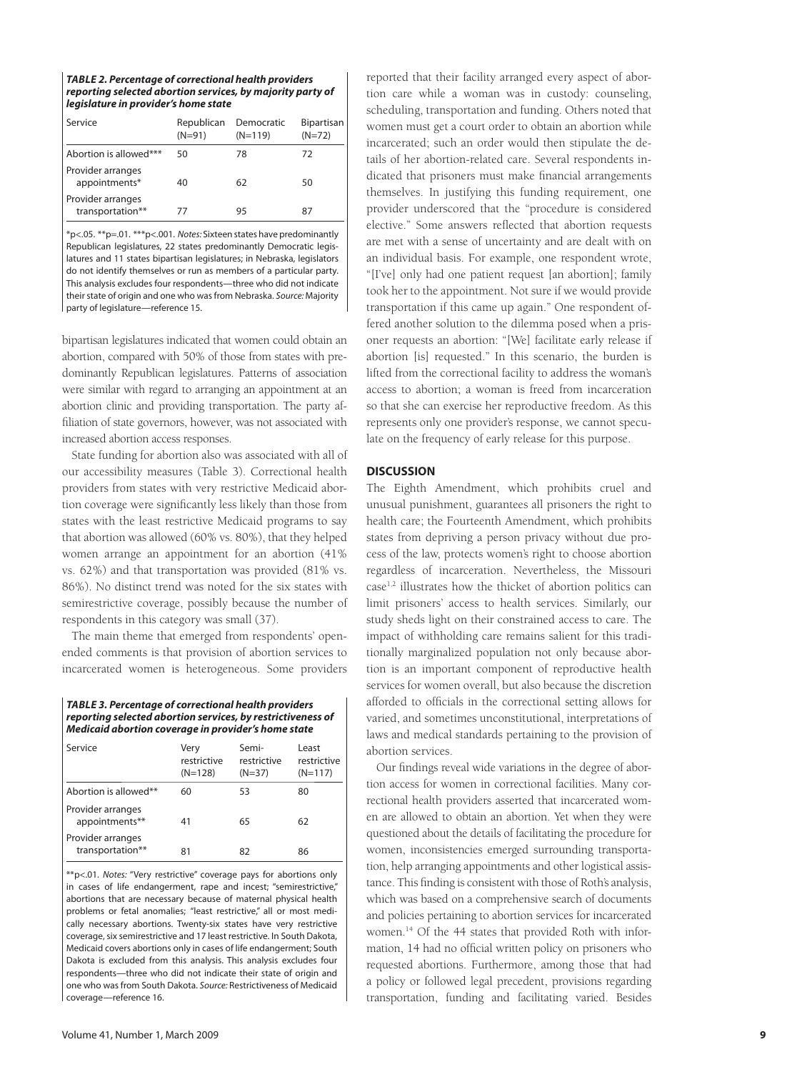| <b>TABLE 2. Percentage of correctional health providers</b> |
|-------------------------------------------------------------|
| reporting selected abortion services, by majority party of  |
| legislature in provider's home state                        |

| Service                               | Republican<br>$(N=91)$ | Democratic<br>$(N=119)$ | Bipartisan<br>$(N=72)$ |
|---------------------------------------|------------------------|-------------------------|------------------------|
| Abortion is allowed***                | 50                     | 78                      | 72                     |
| Provider arranges<br>appointments*    | 40                     | 62                      | 50                     |
| Provider arranges<br>transportation** | 77                     | 95                      | 87                     |

\*p<.05. \*\*p=.01. \*\*\*p<.001. Notes: Sixteen states have predominan tly Republican legislatures, 22 states predominantly Democratic legislatures and 11 states bipartisan legislatures; in Nebraska, legislators do not identify themselves or run as members of a particular party. This analysis excludes four respondents—three who did not indicate their state of origin and one who was from Nebraska. Source: Majority party of legislature—reference 15.

bipartisan legislatures indicated that women could obtain an abortion, compared with 50% of those from states with predominantly Republican legislatures. Patterns of association were similar with regard to arranging an appointment at an abortion clinic and providing transportation. The party affiliation of state governors, however, was not associated with increased abortion access responses.

State funding for abortion also was associated with all of our accessibility measures (Table 3). Correctional health providers from states with very restrictive Medicaid abortion coverage were significantly less likely than those from states with the least restrictive Medicaid programs to say that abortion was allowed (60% vs. 80%), that they helped women arrange an appointment for an abortion (41% vs. 62%) and that transportation was provided (81% vs. 86%). No distinct trend was noted for the six states with semirestrictive coverage, possibly because the number of respondents in this category was small (37).

The main theme that emerged from respondents' openended comments is that provision of abortion services to incarcerated women is heterogeneous. Some providers

*TABLE 3. Percentage of correctional health providers reporting selected abortion services, by restrictiveness of Medicaid abortion coverage in provider's home state*

| Service                               | Verv<br>restrictive<br>$(N=128)$ | Semi-<br>restrictive<br>$(N=37)$ | Least<br>restrictive<br>$(N=117)$ |
|---------------------------------------|----------------------------------|----------------------------------|-----------------------------------|
| Abortion is allowed**                 | 60                               | 53                               | 80                                |
| Provider arranges<br>appointments**   | 41                               | 65                               | 62                                |
| Provider arranges<br>transportation** | 81                               | 82                               | 86                                |

\*\*p<.01. Notes: "Very restrictive" coverage pays for abortions only in cases of life endangerment, rape and incest; "semirestrictive," abortions that are necessary because of maternal physical health problems or fetal anomalies; "least restrictive," all or most medically necessary abortions. Twenty-six states have very restrictive coverage, six semirestrictive and 17 least restrictive. In South Dakota, Medicaid covers abortions only in cases of life endangerment; South Dakota is excluded from this analysis. This analysis excludes four respondents—three who did not indicate their state of origin and one who was from South Dakota. Source: Restrictiveness of Medicaid coverage—reference 16.

reported that their facility arranged every aspect of abortion care while a woman was in custody: counseling, scheduling, transportation and funding. Others noted that women must get a court order to obtain an abortion while incarcerated; such an order would then stipulate the details of her abortion-related care. Several respondents indicated that prisoners must make financial arrangements themselves. In justifying this funding requirement, one provider underscored that the "procedure is considered elective." Some answers reflected that abortion requests are met with a sense of uncertainty and are dealt with on an individual basis. For example, one respondent wrote, "[I've] only had one patient request [an abortion]; family took her to the appointment. Not sure if we would provide transportation if this came up again." One respondent offered another solution to the dilemma posed when a prisoner requests an abortion: "[We] facilitate early release if abortion [is] requested." In this scenario, the burden is lifted from the correctional facility to address the woman's access to abortion; a woman is freed from incarceration so that she can exercise her reproductive freedom. As this represents only one provider's response, we cannot speculate on the frequency of early release for this purpose.

## **DISCUSSION**

The Eighth Amendment, which prohibits cruel and unusual punishment, guarantees all prisoners the right to health care; the Fourteenth Amendment, which prohibits states from depriving a person privacy without due process of the law, protects women's right to choose abortion regardless of incarceration. Nevertheless, the Missouri case1,2 illustrates how the thicket of abortion politics can limit prisoners' access to health services. Similarly, our study sheds light on their constrained access to care. The impact of withholding care remains salient for this traditionally marginalized population not only because abortion is an important component of reproductive health services for women overall, but also because the discretion afforded to officials in the correctional setting allows for varied, and sometimes unconstitutional, interpretations of laws and medical standards pertaining to the provision of abortion services.

Our findings reveal wide variations in the degree of abortion access for women in correctional facilities. Many correctional health providers asserted that incarcerated women are allowed to obtain an abortion. Yet when they were questioned about the details of facilitating the procedure for women, inconsistencies emerged surrounding transportation, help arranging appointments and other logistical assistance. This finding is consistent with those of Roth's analysis, which was based on a comprehensive search of documents and policies pertaining to abortion services for incarcerated women.14 Of the 44 states that provided Roth with information, 14 had no official written policy on prisoners who requested abortions. Furthermore, among those that had a policy or followed legal precedent, provisions regarding transportation, funding and facilitating varied. Besides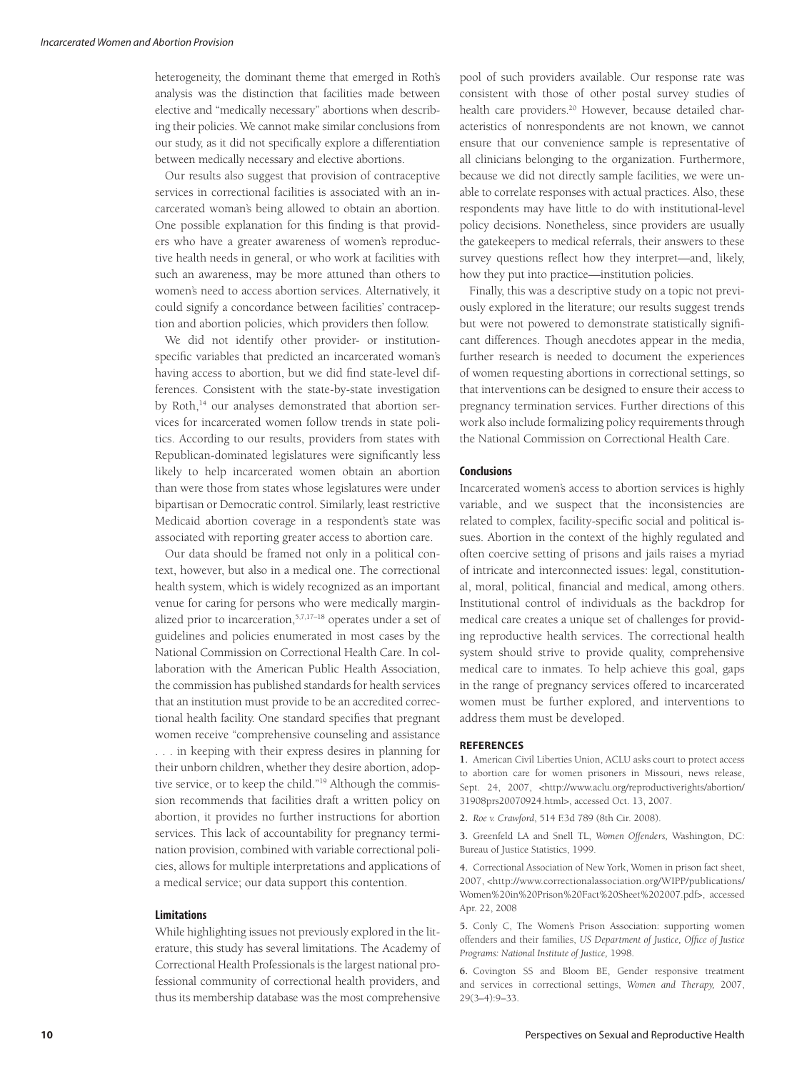heterogeneity, the dominant theme that emerged in Roth's analysis was the distinction that facilities made between elective and "medically necessary" abortions when describing their policies. We cannot make similar conclusions from our study, as it did not specifically explore a differentiation between medically necessary and elective abortions.

Our results also suggest that provision of contraceptive services in correctional facilities is associated with an incarcerated woman's being allowed to obtain an abortion. One possible explanation for this finding is that providers who have a greater awareness of women's reproductive health needs in general, or who work at facilities with such an awareness, may be more attuned than others to women's need to access abortion services. Alternatively, it could signify a concordance between facilities' contraception and abortion policies, which providers then follow.

We did not identify other provider- or institutionspecific variables that predicted an incarcerated woman's having access to abortion, but we did find state-level differences. Consistent with the state-by-state investigation by Roth,<sup>14</sup> our analyses demonstrated that abortion services for incarcerated women follow trends in state politics. According to our results, providers from states with Republican-dominated legislatures were significantly less likely to help incarcerated women obtain an abortion than were those from states whose legislatures were under bipartisan or Democratic control. Similarly, least restrictive Medicaid abortion coverage in a respondent's state was associated with reporting greater access to abortion care.

Our data should be framed not only in a political context, however, but also in a medical one. The correctional health system, which is widely recognized as an important venue for caring for persons who were medically marginalized prior to incarceration,5,7,17–18 operates under a set of guidelines and policies enumerated in most cases by the National Commission on Correctional Health Care. In collaboration with the American Public Health Association, the commission has published standards for health services that an institution must provide to be an accredited correctional health facility. One standard specifies that pregnant women receive "comprehensive counseling and assistance ... in keeping with their express desires in planning for their unborn children, whether they desire abortion, adoptive service, or to keep the child."19 Although the commission recommends that facilities draft a written policy on abortion, it provides no further instructions for abortion services. This lack of accountability for pregnancy termination provision, combined with variable correctional policies, allows for multiple interpretations and applications of a medical service; our data support this contention.

## **Limitations**

While highlighting issues not previously explored in the lite rature, this study has several limitations. The Academy of Correctional Health Professionals is the largest national professional community of correctional health providers, and thus its membership database was the most comprehensive pool of such providers available. Our response rate was consistent with those of other postal survey studies of health care providers.<sup>20</sup> However, because detailed characteristics of nonrespondents are not known, we cannot ensure that our convenience sample is representative of all clinicians belonging to the organization. Furthermore, because we did not directly sample facilities, we were unable to correlate responses with actual practices. Also, these respondents may have little to do with institutional-level policy decisions. Nonetheless, since providers are usually the gatekeepers to medical referrals, their answers to these survey questions reflect how they interpret—and, likely, how they put into practice—institution policies.

Finally, this was a descriptive study on a topic not previously explored in the literature; our results suggest trends but were not powered to demonstrate statistically significant differences. Though anecdotes appear in the media, further research is needed to document the experiences of women requesting abortions in correctional settings, so that interventions can be designed to ensure their access to pregnancy termination services. Further directions of this work also include formalizing policy requirements through the National Commission on Correctional Health Care.

### **Conclusions**

Incarcerated women's access to abortion services is highly variable, and we suspect that the inconsistencies are related to complex, facility-specific social and political issues. Abortion in the context of the highly regulated and often coercive setting of prisons and jails raises a myriad of intricate and interconnected issues: legal, constitutional, moral, political, financial and medical, among others. Institutional control of individuals as the backdrop for medical care creates a unique set of challenges for providing reproductive health services. The correctional health system should strive to provide quality, comprehensive medical care to inmates. To help achieve this goal, gaps in the range of pregnancy services offered to incarcerated women must be further explored, and interventions to address them must be developed.

#### **REFERENCES**

**1.** American Civil Liberties Union, ACLU asks court to protect access to abortion care for women prisoners in Missouri, news release, Sept. 24, 2007, <http://www.aclu.org/reproductiverights/abortion/ 31908prs20070924.html>, accessed Oct. 13, 2007.

**2.** *Roe v. Crawford*, 514 F.3d 789 (8th Cir. 2008).

**3.** Greenfeld LA and Snell TL, *Women Offenders,* Washington, DC: Bureau of Justice Statistics, 1999.

**4.** Correctional Association of New York, Women in prison fact sheet, 2007, <http://www.correctionalassociation.org/WIPP/publications/ Women%20in%20Prison%20Fact%20Sheet%202007.pdf>, accessed Apr. 22, 2008

**5.** Conly C, The Women's Prison Association: supporting women offenders and their families, *US Department of Justice*, *Office of Justice Programs: National Institute of Justice,* 1998.

**6.** Covington SS and Bloom BE, Gender responsive treatment and services in correctional settings, *Women and Therapy,* 2007, 29(3–4):9–33.